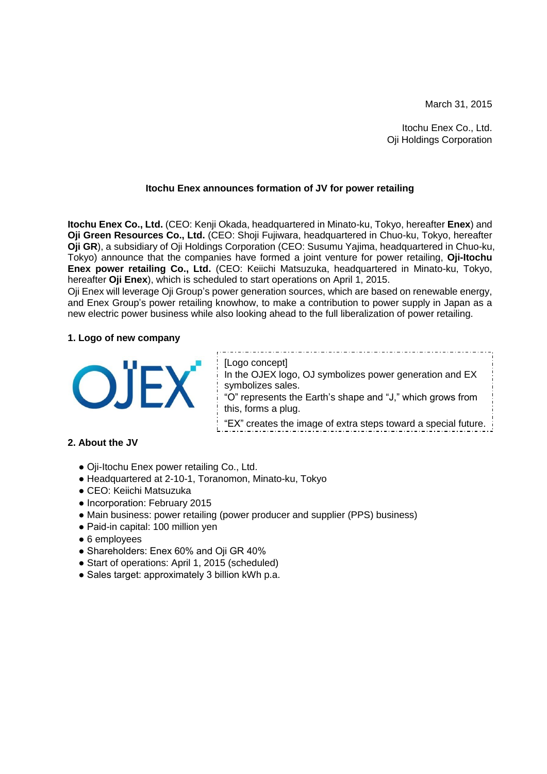March 31, 2015

Itochu Enex Co., Ltd. Oji Holdings Corporation

## **Itochu Enex announces formation of JV for power retailing**

**Itochu Enex Co., Ltd.** (CEO: Kenji Okada, headquartered in Minato-ku, Tokyo, hereafter **Enex**) and **Oji Green Resources Co., Ltd.** (CEO: Shoji Fujiwara, headquartered in Chuo-ku, Tokyo, hereafter **Oji GR**), a subsidiary of Oji Holdings Corporation (CEO: Susumu Yajima, headquartered in Chuo-ku, Tokyo) announce that the companies have formed a joint venture for power retailing, **Oji-Itochu Enex power retailing Co., Ltd.** (CEO: Keiichi Matsuzuka, headquartered in Minato-ku, Tokyo, hereafter **Oji Enex**), which is scheduled to start operations on April 1, 2015.

Oji Enex will leverage Oji Group's power generation sources, which are based on renewable energy, and Enex Group's power retailing knowhow, to make a contribution to power supply in Japan as a new electric power business while also looking ahead to the full liberalization of power retailing.

### **1. Logo of new company**



[Logo concept]  $\frac{1}{1}$  In the OJEX logo, OJ symbolizes power generation and EX symbolizes sales. "O" represents the Earth's shape and "J," which grows from this, forms a plug. "EX" creates the image of extra steps toward a special future.

# **2. About the JV**

- Oji-Itochu Enex power retailing Co., Ltd.
- Headquartered at 2-10-1, Toranomon, Minato-ku, Tokyo
- CEO: Keiichi Matsuzuka
- Incorporation: February 2015
- Main business: power retailing (power producer and supplier (PPS) business)
- Paid-in capital: 100 million yen
- 6 employees
- Shareholders: Enex 60% and Oji GR 40%
- Start of operations: April 1, 2015 (scheduled)
- Sales target: approximately 3 billion kWh p.a.